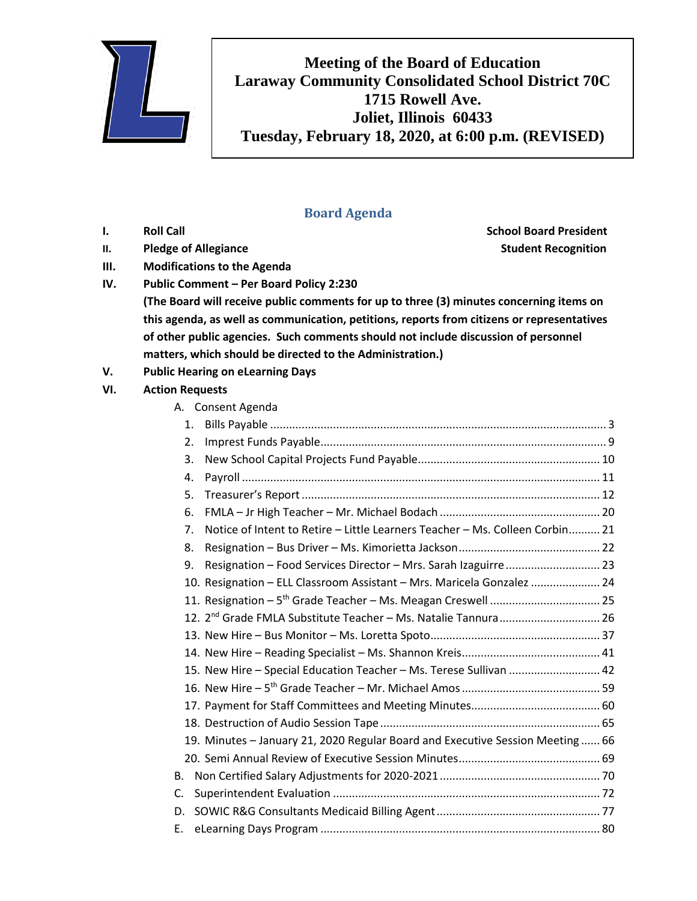

**Meeting of the Board of Education Laraway Community Consolidated School District 70C 1715 Rowell Ave. Joliet, Illinois 60433 Tuesday, February 18, 2020, at 6:00 p.m. (REVISED)**

## **Board Agenda**

**II. Pledge of Allegiance Student Recognition** 

- **III. Modifications to the Agenda**
- **IV. Public Comment – Per Board Policy 2:230**

**I. Roll Call School Board President**

- **(The Board will receive public comments for up to three (3) minutes concerning items on this agenda, as well as communication, petitions, reports from citizens or representatives of other public agencies. Such comments should not include discussion of personnel matters, which should be directed to the Administration.)**
- **V. Public Hearing on eLearning Days**

## **VI. Action Requests**

|    |    | A. Consent Agenda                                                             |  |
|----|----|-------------------------------------------------------------------------------|--|
|    | 1. |                                                                               |  |
|    | 2. |                                                                               |  |
|    | 3. |                                                                               |  |
|    | 4. |                                                                               |  |
|    | 5. |                                                                               |  |
|    | 6. |                                                                               |  |
|    | 7. | Notice of Intent to Retire - Little Learners Teacher - Ms. Colleen Corbin 21  |  |
|    | 8. |                                                                               |  |
|    | 9. | Resignation - Food Services Director - Mrs. Sarah Izaguirre  23               |  |
|    |    | 10. Resignation - ELL Classroom Assistant - Mrs. Maricela Gonzalez  24        |  |
|    |    |                                                                               |  |
|    |    | 12. 2 <sup>nd</sup> Grade FMLA Substitute Teacher - Ms. Natalie Tannura 26    |  |
|    |    |                                                                               |  |
|    |    |                                                                               |  |
|    |    | 15. New Hire - Special Education Teacher - Ms. Terese Sullivan  42            |  |
|    |    |                                                                               |  |
|    |    |                                                                               |  |
|    |    |                                                                               |  |
|    |    | 19. Minutes - January 21, 2020 Regular Board and Executive Session Meeting 66 |  |
|    |    |                                                                               |  |
| В. |    |                                                                               |  |
| C. |    |                                                                               |  |
| D. |    |                                                                               |  |
| Е. |    |                                                                               |  |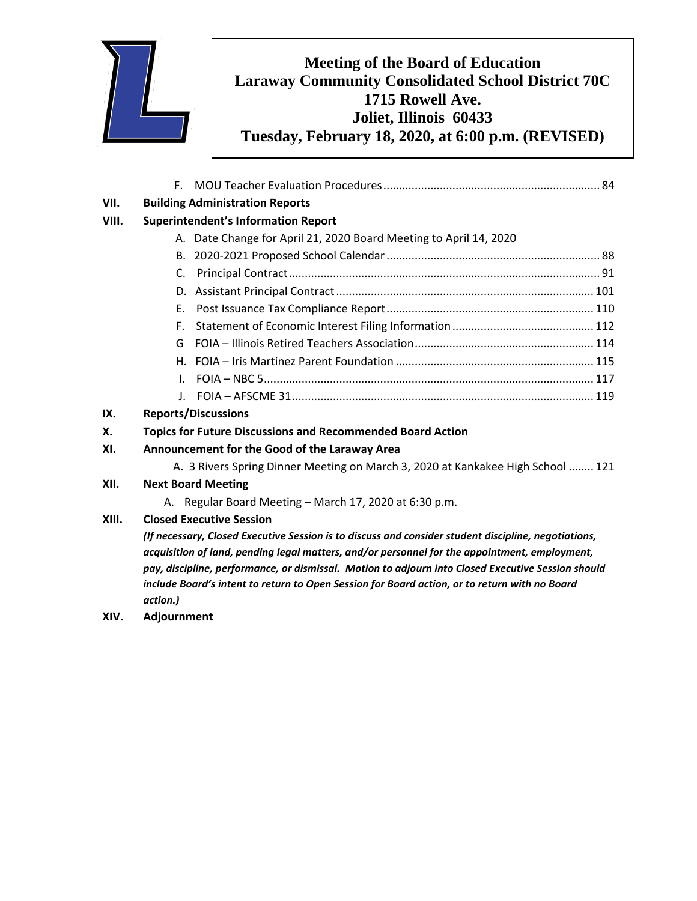

## **Meeting of the Board of Education Laraway Community Consolidated School District 70C 1715 Rowell Ave. Joliet, Illinois 60433 Tuesday, February 18, 2020, at 6:00 p.m. (REVISED)**

|       | F.                                                                                                   |
|-------|------------------------------------------------------------------------------------------------------|
| VII.  | <b>Building Administration Reports</b>                                                               |
| VIII. | <b>Superintendent's Information Report</b>                                                           |
|       | A. Date Change for April 21, 2020 Board Meeting to April 14, 2020                                    |
|       |                                                                                                      |
|       | C.                                                                                                   |
|       |                                                                                                      |
|       | Е.                                                                                                   |
|       | F.                                                                                                   |
|       | G.                                                                                                   |
|       |                                                                                                      |
|       |                                                                                                      |
|       |                                                                                                      |
| IX.   | <b>Reports/Discussions</b>                                                                           |
| Х.    | <b>Topics for Future Discussions and Recommended Board Action</b>                                    |
| XI.   | Announcement for the Good of the Laraway Area                                                        |
|       | A. 3 Rivers Spring Dinner Meeting on March 3, 2020 at Kankakee High School  121                      |
| XII.  | <b>Next Board Meeting</b>                                                                            |
|       | A. Regular Board Meeting - March 17, 2020 at 6:30 p.m.                                               |
| XIII. | <b>Closed Executive Session</b>                                                                      |
|       | (If necessary, Closed Executive Session is to discuss and consider student discipline, negotiations, |

*acquisition of land, pending legal matters, and/or personnel for the appointment, employment, pay, discipline, performance, or dismissal. Motion to adjourn into Closed Executive Session should include Board's intent to return to Open Session for Board action, or to return with no Board action.)*

**XIV. Adjournment**